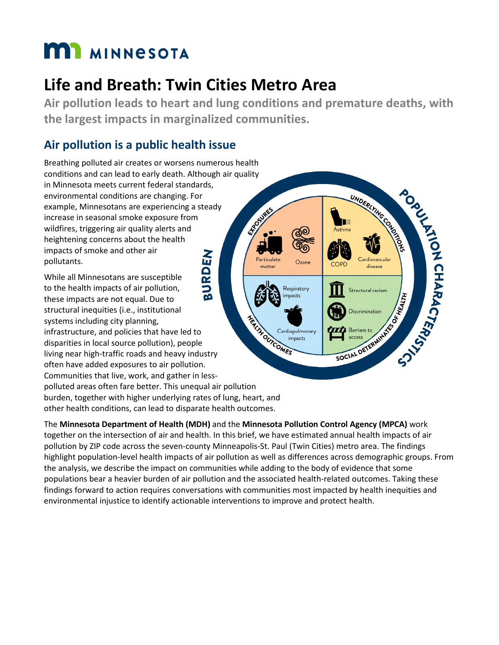# **MI** MINNESOTA

## **Life and Breath: Twin Cities Metro Area**

**Air pollution leads to heart and lung conditions and premature deaths, with the largest impacts in marginalized communities.** 

Particulate

matter

Ozone

Respiratory impacts

Cardiopulmonary impacts

UNDERLY NE CONSTRU

Cardiovascular

Structural racism

**PORTAGETARACTERS** 

## **Air pollution is a public health issue**

Breathing polluted air creates or worsens numerous health conditions and can lead to early death. Although air quality in Minnesota meets current federal standards, environmental conditions are changing. For ENFOUNDED example, Minnesotans are experiencing a steady increase in seasonal smoke exposure from wildfires, triggering air quality alerts and heightening concerns about the health impacts of smoke and other air pollutants.

BURDEN While all Minnesotans are susceptible to the health impacts of air pollution, these impacts are not equal. Due to structural inequities (i.e., institutional Territor Cardion systems including city planning, infrastructure, and policies that have led to disparities in local source pollution), people living near high-traffic roads and heavy industry often have added exposures to air pollution. Communities that live, work, and gather in lesspolluted areas often fare better. This unequal air pollution burden, together with higher underlying rates of lung, heart, and other health conditions, can lead to disparate health outcomes.

The **Minnesota Department of Health (MDH)** and the **Minnesota Pollution Control Agency (MPCA)** work together on the intersection of air and health. In this brief, we have estimated annual health impacts of air pollution by ZIP code across the seven-county Minneapolis-St. Paul (Twin Cities) metro area. The findings highlight population-level health impacts of air pollution as well as differences across demographic groups. From the analysis, we describe the impact on communities while adding to the body of evidence that some populations bear a heavier burden of air pollution and the associated health-related outcomes. Taking these findings forward to action requires conversations with communities most impacted by health inequities and environmental injustice to identify actionable interventions to improve and protect health.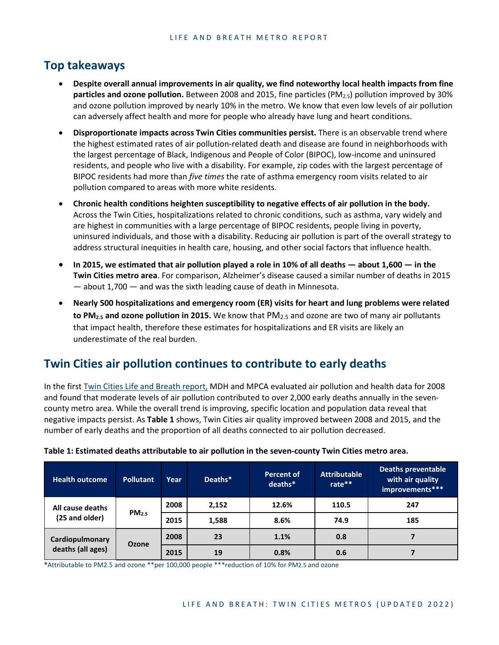### **Top takeaways**

- **Despite overall annual improvements in air quality, we find noteworthy local health impacts from fine particles and ozone pollution.** Between 2008 and 2015, fine particles (PM2.5) pollution improved by 30% and ozone pollution improved by nearly 10% in the metro. We know that even low levels of air pollution can adversely affect health and more for people who already have lung and heart conditions.
- **Disproportionate impacts across Twin Cities communities persist.** There is an observable trend where the highest estimated rates of air pollution-related death and disease are found in neighborhoods with the largest percentage of Black, Indigenous and People of Color (BIPOC), low-income and uninsured residents, and people who live with a disability. For example, zip codes with the largest percentage of BIPOC residents had more than *five times* the rate of asthma emergency room visits related to air pollution compared to areas with more white residents.
- **Chronic health conditions heighten susceptibility to negative effects of air pollution in the body.** Across the Twin Cities, hospitalizations related to chronic conditions, such as asthma, vary widely and are highest in communities with a large percentage of BIPOC residents, people living in poverty, uninsured individuals, and those with a disability. Reducing air pollution is part of the overall strategy to address structural inequities in health care, housing, and other social factors that influence health.
- **In 2015, we estimated that air pollution played a role in 10% of all deaths about 1,600 in the Twin Cities metro area**. For comparison, Alzheimer's disease caused a similar number of deaths in 2015 — about 1,700 — and was the sixth leading cause of death in Minnesota.
- **Nearly 500 hospitalizations and emergency room (ER) visits for heart and lung problems were related to PM2.5 and ozone pollution in 2015.** We know that PM2.5 and ozone are two of many air pollutants that impact health, therefore these estimates for hospitalizations and ER visits are likely an underestimate of the real burden.

## **Twin Cities air pollution continues to contribute to early deaths**

In the firs[t Twin Cities Life and Breath report,](https://www.pca.state.mn.us/sites/default/files/aq1-61.pdf) MDH and MPCA evaluated air pollution and health data for 2008 and found that moderate levels of air pollution contributed to over 2,000 early deaths annually in the sevencounty metro area. While the overall trend is improving, specific location and population data reveal that negative impacts persist. As **Table 1** shows, Twin Cities air quality improved between 2008 and 2015, and the number of early deaths and the proportion of all deaths connected to air pollution decreased.

| <b>Health outcome</b>                | <b>Pollutant</b>  | Year | Deaths* | <b>Percent of</b><br>deaths* | <b>Attributable</b><br>rate** | Deaths preventable<br>with air quality<br>improvements*** |
|--------------------------------------|-------------------|------|---------|------------------------------|-------------------------------|-----------------------------------------------------------|
| All cause deaths<br>(25 and older)   | PM <sub>2.5</sub> | 2008 | 2,152   | 12.6%                        | 110.5                         | 247                                                       |
|                                      |                   | 2015 | 1,588   | 8.6%                         | 74.9                          | 185                                                       |
| Cardiopulmonary<br>deaths (all ages) | <b>Ozone</b>      | 2008 | 23      | 1.1%                         | 0.8                           |                                                           |
|                                      |                   | 2015 | 19      | 0.8%                         | 0.6                           |                                                           |

#### **Table 1: Estimated deaths attributable to air pollution in the seven-county Twin Cities metro area.**

**\***Attributable to PM2.5 and ozone \*\*per 100,000 people \*\*\*reduction of 10% for PM2.5 and ozone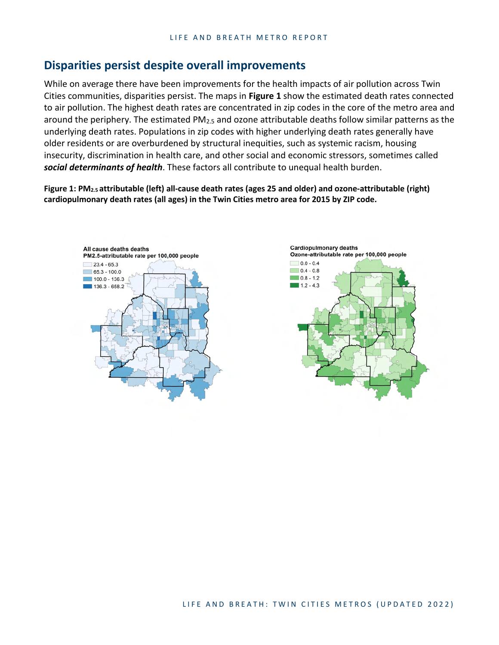#### **Disparities persist despite overall improvements**

While on average there have been improvements for the health impacts of air pollution across Twin Cities communities, disparities persist. The maps in **Figure 1** show the estimated death rates connected to air pollution. The highest death rates are concentrated in zip codes in the core of the metro area and around the periphery. The estimated PM2.5 and ozone attributable deaths follow similar patterns as the underlying death rates. Populations in zip codes with higher underlying death rates generally have older residents or are overburdened by structural inequities, such as systemic racism, housing insecurity, discrimination in health care, and other social and economic stressors, sometimes called *social determinants of health*. These factors all contribute to unequal health burden.

**Figure 1: PM2.5 attributable (left) all-cause death rates (ages 25 and older) and ozone-attributable (right) cardiopulmonary death rates (all ages) in the Twin Cities metro area for 2015 by ZIP code.** 



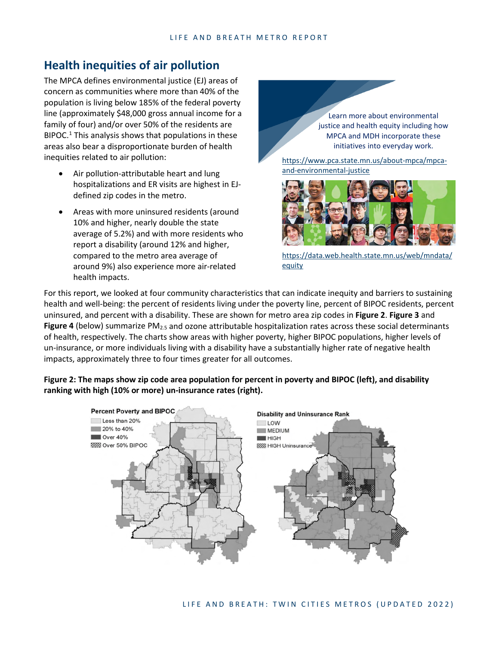## **Health inequities of air pollution**

The MPCA defines environmental justice (EJ) areas of concern as communities where more than 40% of the population is living below 185% of the federal poverty line (approximately \$48,000 gross annual income for a family of four) and/or over 50% of the residents are BIPOC.<sup>[1](#page-6-0)</sup> This analysis shows that populations in these areas also bear a disproportionate burden of health inequities related to air pollution:

- Air pollution-attributable heart and lung hospitalizations and ER visits are highest in EJdefined zip codes in the metro.
- Areas with more uninsured residents (around 10% and higher, nearly double the state average of 5.2%) and with more residents who report a disability (around 12% and higher, compared to the metro area average of around 9%) also experience more air-related health impacts.

Learn more about environmental justice and health equity including how MPCA and MDH incorporate these initiatives into everyday work.

[https://www.pca.state.mn.us/about-mpca/mpca](https://www.pca.state.mn.us/about-mpca/mpca-and-environmental-justice)[and-environmental-justice](https://www.pca.state.mn.us/about-mpca/mpca-and-environmental-justice)



[https://data.web.health.state.mn.us/web/mndata/](https://data.web.health.state.mn.us/web/mndata/equity) [equity](https://data.web.health.state.mn.us/web/mndata/equity)

For this report, we looked at four community characteristics that can indicate inequity and barriers to sustaining health and well-being: the percent of residents living under the poverty line, percent of BIPOC residents, percent uninsured, and percent with a disability. These are shown for metro area zip codes in **Figure 2**. **Figure 3** and **Figure 4** (below) summarize PM<sub>2.5</sub> and ozone attributable hospitalization rates across these social determinants of health, respectively. The charts show areas with higher poverty, higher BIPOC populations, higher levels of un-insurance, or more individuals living with a disability have a substantially higher rate of negative health impacts, approximately three to four times greater for all outcomes.

#### **Figure 2: The maps show zip code area population for percent in poverty and BIPOC (left), and disability ranking with high (10% or more) un-insurance rates (right).**

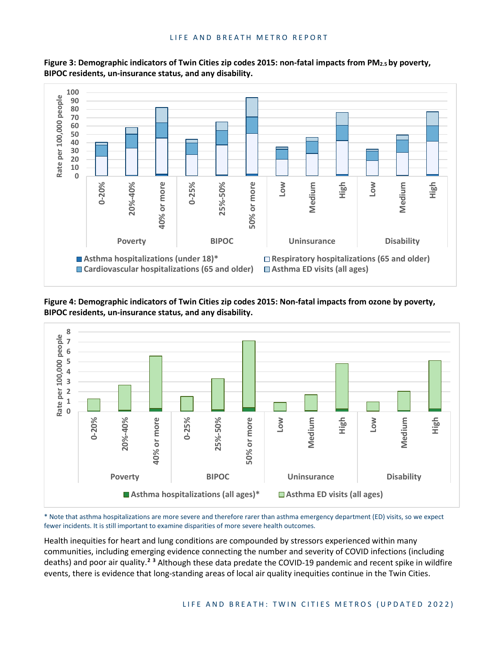

**Figure 3: Demographic indicators of Twin Cities zip codes 2015: non-fatal impacts from PM2.5 by poverty, BIPOC residents, un-insurance status, and any disability.** 

**Figure 4: Demographic indicators of Twin Cities zip codes 2015: Non-fatal impacts from ozone by poverty, BIPOC residents, un-insurance status, and any disability.** 



\* Note that asthma hospitalizations are more severe and therefore rarer than asthma emergency department (ED) visits, so we expect fewer incidents. It is still important to examine disparities of more severe health outcomes.

Health inequities for heart and lung conditions are compounded by stressors experienced within many communities, including emerging evidence connecting the number and severity of COVID infections (including deaths) and poor air quality.**[2](#page-6-1) [3](#page-6-2)** Although these data predate the COVID-19 pandemic and recent spike in wildfire events, there is evidence that long-standing areas of local air quality inequities continue in the Twin Cities.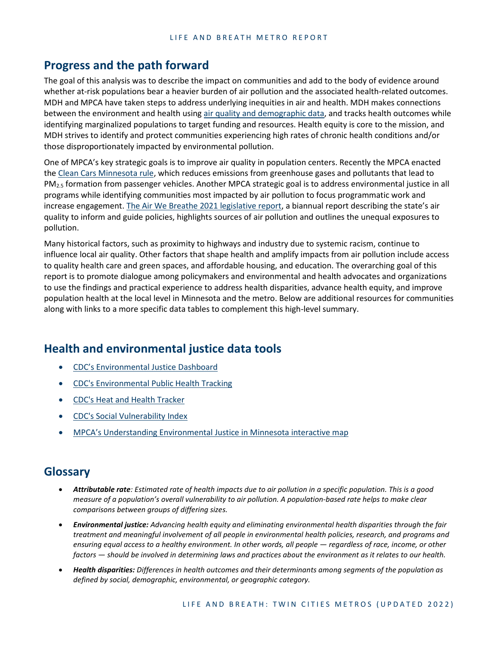#### **Progress and the path forward**

The goal of this analysis was to describe the impact on communities and add to the body of evidence around whether at-risk populations bear a heavier burden of air pollution and the associated health-related outcomes. MDH and MPCA have taken steps to address underlying inequities in air and health. MDH makes connections between the environment and health using air quality and [demographic data,](https://data.web.health.state.mn.us/web/mndata/cancer) and tracks health outcomes while identifying marginalized populations to target funding and resources. Health equity is core to the mission, and MDH strives to identify and protect communities experiencing high rates of chronic health conditions and/or those disproportionately impacted by environmental pollution.

One of MPCA's key strategic goals is to improve air quality in population centers. Recently the MPCA enacted the [Clean Cars Minnesota rule,](https://www.pca.state.mn.us/air/clean-cars-minnesota) which reduces emissions from greenhouse gases and pollutants that lead to PM<sub>2.5</sub> formation from passenger vehicles. Another MPCA strategic goal is to address environmental justice in all programs while identifying communities most impacted by air pollution to focus programmatic work and increase engagement. [The Air We Breathe 2021 legislative report,](https://www.pca.state.mn.us/sites/default/files/lraq-2sy21.pdf) a biannual report describing the state's air quality to inform and guide policies, highlights sources of air pollution and outlines the unequal exposures to pollution.

Many historical factors, such as proximity to highways and industry due to systemic racism, continue to influence local air quality. Other factors that shape health and amplify impacts from air pollution include access to quality health care and green spaces, and affordable housing, and education. The overarching goal of this report is to promote dialogue among policymakers and environmental and health advocates and organizations to use the findings and practical experience to address health disparities, advance health equity, and improve population health at the local level in Minnesota and the metro. Below are additional resources for communities along with links to a more specific data tables to complement this high-level summary.

#### **Health and environmental justice data tools**

- [CDC's Environmental Justice Dashboard](https://ephtracking.cdc.gov/Applications/ejdashboard/)
- [CDC's Environmental Public Health Tracking](https://www.cdc.gov/nceh/tracking/)
- [CDC's Heat and Health Tracker](https://ephtracking.cdc.gov/Applications/heatTracker/)
- [CDC's Social Vulnerability Index](https://www.atsdr.cdc.gov/placeandhealth/svi/index.html)
- [MPCA's Understanding Environmental Justice in Minnesota interactive map](https://mpca.maps.arcgis.com/apps/MapSeries/index.html?appid=f5bf57c8dac24404b7f8ef1717f57d00)

#### **Glossary**

- *Attributable rate: Estimated rate of health impacts due to air pollution in a specific population. This is a good measure of a population's overall vulnerability to air pollution. A population-based rate helps to make clear comparisons between groups of differing sizes.*
- *Environmental justice: Advancing health equity and eliminating environmental health disparities through the fair treatment and meaningful involvement of all people in environmental health policies, research, and programs and ensuring equal access to a healthy environment. In other words, all people — regardless of race, income, or other factors — should be involved in determining laws and practices about the environment as it relates to our health.*
- *Health disparities: Differences in health outcomes and their determinants among segments of the population as defined by social, demographic, environmental, or geographic category.*